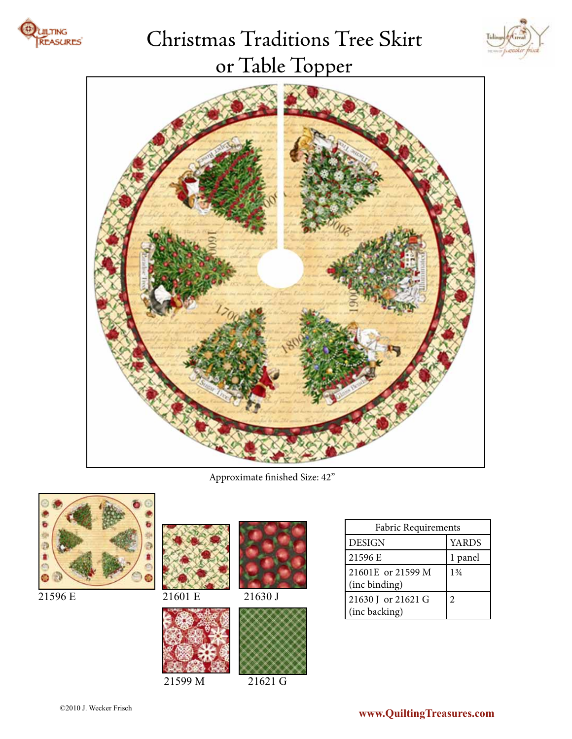

# Christmas Traditions Tree Skirt or Table Topper





Approximate finished Size: 42"



21596 E







21599 M 21621 G

|         |         | Fabric Requirements                |                |
|---------|---------|------------------------------------|----------------|
|         |         | <b>DESIGN</b>                      | <b>YARDS</b>   |
|         |         | 21596 E                            | panel          |
|         |         | 21601E or 21599 M<br>(inc binding) | $1\frac{3}{4}$ |
| 21601 E | 21630 J | 21630 J or 21621 G                 |                |
|         |         | (inc backing)                      |                |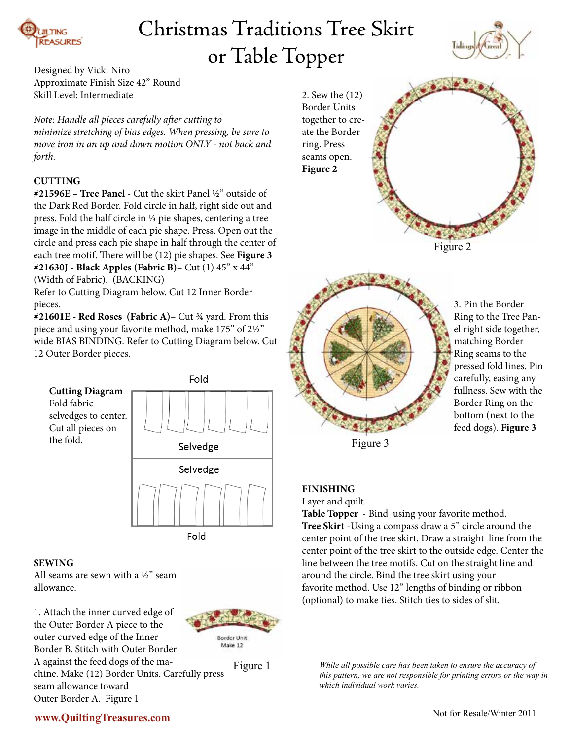

## Christmas Traditions Tree Skirt or Table Topper



Designed by Vicki Niro Approximate Finish Size 42" Round Skill Level: Intermediate

#### *Note: Handle all pieces carefully after cutting to*

*minimize stretching of bias edges. When pressing, be sure to move iron in an up and down motion ONLY - not back and forth.* 

#### **CUTTING**

**#21596E – Tree Panel** - Cut the skirt Panel ½" outside of the Dark Red Border. Fold circle in half, right side out and press. Fold the half circle in ⅓ pie shapes, centering a tree image in the middle of each pie shape. Press. Open out the circle and press each pie shape in half through the center of each tree motif. There will be (12) pie shapes. See **Figure 3 #21630J - Black Apples (Fabric B)**– Cut (1) 45" x 44"

(Width of Fabric). (BACKING)

Refer to Cutting Diagram below. Cut 12 Inner Border pieces.

**#21601E - Red Roses (Fabric A)**– Cut ¾ yard. From this piece and using your favorite method, make 175" of 2½" wide BIAS BINDING. Refer to Cutting Diagram below. Cut 12 Outer Border pieces.



Fold

#### **SEWING**

All seams are sewn with a ½" seam allowance.

1. Attach the inner curved edge of the Outer Border A piece to the outer curved edge of the Inner Border B. Stitch with Outer Border A against the feed dogs of the machine. Make (12) Border Units. Carefully press seam allowance toward Outer Border A. Figure 1



Figure 1

2. Sew the (12) Border Units together to create the Border ring. Press seams open. **Figure 2**





3. Pin the Border Ring to the Tree Panel right side together, matching Border Ring seams to the pressed fold lines. Pin carefully, easing any fullness. Sew with the Border Ring on the bottom (next to the feed dogs). **Figure 3**

Figure 3

#### **FINISHING**

Layer and quilt.

**Table Topper** - Bind using your favorite method. **Tree Skirt** -Using a compass draw a 5" circle around the center point of the tree skirt. Draw a straight line from the center point of the tree skirt to the outside edge. Center the line between the tree motifs. Cut on the straight line and around the circle. Bind the tree skirt using your favorite method. Use 12" lengths of binding or ribbon (optional) to make ties. Stitch ties to sides of slit.

*While all possible care has been taken to ensure the accuracy of this pattern, we are not responsible for printing errors or the way in which individual work varies.*

### **www.QuiltingTreasures.com**